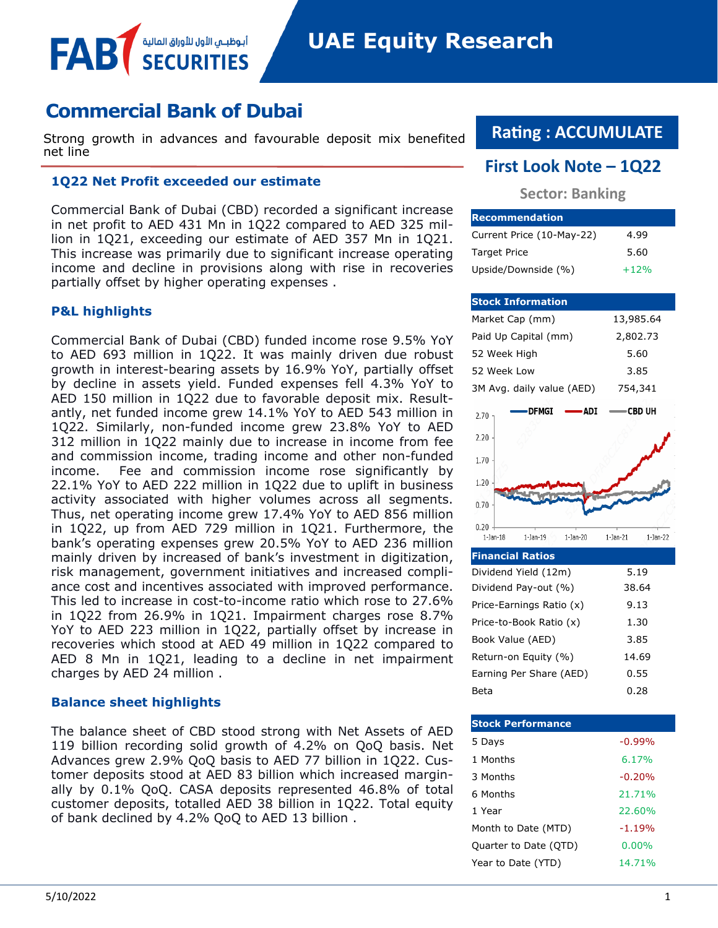# **Commercial Bank of Dubai**

أبوظبــمي الأول للأوراق المالية

Strong growth in advances and favourable deposit mix benefited net line

### **1Q22 Net Profit exceeded our estimate**

Commercial Bank of Dubai (CBD) recorded a significant increase in net profit to AED 431 Mn in 1Q22 compared to AED 325 million in 1Q21, exceeding our estimate of AED 357 Mn in 1Q21. This increase was primarily due to significant increase operating income and decline in provisions along with rise in recoveries partially offset by higher operating expenses .

### **P&L highlights**

FAB

Commercial Bank of Dubai (CBD) funded income rose 9.5% YoY to AED 693 million in 1Q22. It was mainly driven due robust growth in interest-bearing assets by 16.9% YoY, partially offset by decline in assets yield. Funded expenses fell 4.3% YoY to AED 150 million in 1Q22 due to favorable deposit mix. Resultantly, net funded income grew 14.1% YoY to AED 543 million in 1Q22. Similarly, non-funded income grew 23.8% YoY to AED 312 million in 1Q22 mainly due to increase in income from fee and commission income, trading income and other non-funded income. Fee and commission income rose significantly by 22.1% YoY to AED 222 million in 1Q22 due to uplift in business activity associated with higher volumes across all segments. Thus, net operating income grew 17.4% YoY to AED 856 million in 1Q22, up from AED 729 million in 1Q21. Furthermore, the bank's operating expenses grew 20.5% YoY to AED 236 million mainly driven by increased of bank's investment in digitization, risk management, government initiatives and increased compliance cost and incentives associated with improved performance. This led to increase in cost-to-income ratio which rose to 27.6% in 1Q22 from 26.9% in 1Q21. Impairment charges rose 8.7% YoY to AED 223 million in 1Q22, partially offset by increase in recoveries which stood at AED 49 million in 1Q22 compared to AED 8 Mn in 1Q21, leading to a decline in net impairment charges by AED 24 million .

#### **Balance sheet highlights**

The balance sheet of CBD stood strong with Net Assets of AED 119 billion recording solid growth of 4.2% on QoQ basis. Net Advances grew 2.9% QoQ basis to AED 77 billion in 1Q22. Customer deposits stood at AED 83 billion which increased marginally by 0.1% QoQ. CASA deposits represented 46.8% of total customer deposits, totalled AED 38 billion in 1Q22. Total equity of bank declined by 4.2% QoQ to AED 13 billion .

# **Rating : ACCUMULATE**

# **First Look Note – 1Q22**

### **Sector: Banking**

| <b>Recommendation</b>     |        |
|---------------------------|--------|
| Current Price (10-May-22) | 4.99   |
| <b>Target Price</b>       | 5.60   |
| Upside/Downside (%)       | $+12%$ |

| <b>Stock Information</b>                                   |                                  |  |  |
|------------------------------------------------------------|----------------------------------|--|--|
| Market Cap (mm)                                            | 13,985.64                        |  |  |
| Paid Up Capital (mm)                                       | 2,802.73                         |  |  |
| 52 Week High                                               | 5.60                             |  |  |
| 52 Week Low                                                | 3.85                             |  |  |
| 3M Avg. daily value (AED)                                  | 754,341                          |  |  |
| <b>DFMGI</b><br>∙ADI<br>2.70                               | ∙CBD UH                          |  |  |
| 2.20                                                       |                                  |  |  |
| 1.70                                                       |                                  |  |  |
| 1.20                                                       |                                  |  |  |
| 0.70                                                       |                                  |  |  |
| 0.20<br>$1-$ Jan $-18$<br>$1-$ Jan $-19$<br>$1-$ Jan $-20$ | $1-$ Jan $-21$<br>$1-$ Jan $-22$ |  |  |

| <b>Financial Ratios</b>  |       |
|--------------------------|-------|
| Dividend Yield (12m)     | 5.19  |
| Dividend Pay-out (%)     | 38.64 |
| Price-Earnings Ratio (x) | 9.13  |
| Price-to-Book Ratio (x)  | 1.30  |
| Book Value (AED)         | 3.85  |
| Return-on Equity (%)     | 14.69 |
| Earning Per Share (AED)  | 0.55  |
| Beta                     | 0.28  |

| <b>Stock Performance</b> |          |
|--------------------------|----------|
| 5 Days                   | $-0.99%$ |
| 1 Months                 | 6.17%    |
| 3 Months                 | $-0.20%$ |
| 6 Months                 | 21.71%   |
| 1 Year                   | 22.60%   |
| Month to Date (MTD)      | $-1.19%$ |
| Quarter to Date (QTD)    | $0.00\%$ |
| Year to Date (YTD)       | 14.71%   |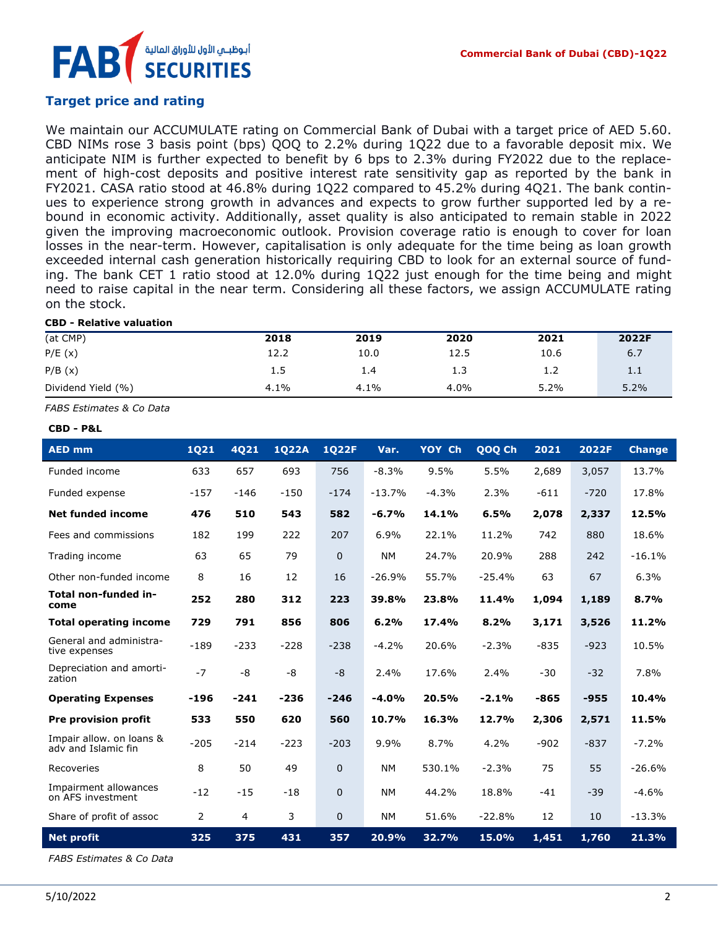# .<br>أبوظبـــي الأول للأوراق المالية FAI **SECURITIES**

### **Target price and rating**

We maintain our ACCUMULATE rating on Commercial Bank of Dubai with a target price of AED 5.60. CBD NIMs rose 3 basis point (bps) QOQ to 2.2% during 1Q22 due to a favorable deposit mix. We anticipate NIM is further expected to benefit by 6 bps to 2.3% during FY2022 due to the replacement of high-cost deposits and positive interest rate sensitivity gap as reported by the bank in FY2021. CASA ratio stood at 46.8% during 1Q22 compared to 45.2% during 4Q21. The bank continues to experience strong growth in advances and expects to grow further supported led by a rebound in economic activity. Additionally, asset quality is also anticipated to remain stable in 2022 given the improving macroeconomic outlook. Provision coverage ratio is enough to cover for loan losses in the near-term. However, capitalisation is only adequate for the time being as loan growth exceeded internal cash generation historically requiring CBD to look for an external source of funding. The bank CET 1 ratio stood at 12.0% during 1Q22 just enough for the time being and might need to raise capital in the near term. Considering all these factors, we assign ACCUMULATE rating on the stock.

#### **CBD - Relative valuation**

| (at CMP)           | 2018 | 2019 | 2020 | 2021 | 2022F |
|--------------------|------|------|------|------|-------|
| P/E(x)             | 12.2 | 10.0 | 12.5 | 10.6 | 6.7   |
| P/B(x)             | 1.5  | 1.4  | 1.3  | 1.2  | 1.1   |
| Dividend Yield (%) | 4.1% | 4.1% | 4.0% | 5.2% | 5.2%  |

*FABS Estimates & Co Data*

# **AED mm 1Q21 4Q21 1Q22A 1Q22F Var. YOY Ch QOQ Ch 2021 2022F Change** Funded income 633 657 693 756 -8.3% 9.5% 5.5% 2,689 3,057 13.7% Funded expense -157 -146 -150 -174 -13.7% -4.3% 2.3% -611 -720 17.8% **Net funded income 476 510 543 582 -6.7% 14.1% 6.5% 2,078 2,337 12.5%** Fees and commissions 182 199 222 207 6.9% 22.1% 11.2% 742 880 18.6% Trading income 63 65 79 0 NM 24.7% 20.9% 288 242 -16.1% Other non-funded income 8 16 12 16 -26.9% 55.7% -25.4% 63 67 6.3% **Total non-funded income <sup>252</sup> <sup>280</sup> <sup>312</sup> <sup>223</sup> 39.8% 23.8% 11.4% 1,094 1,189 8.7% Total operating income 729 791 856 806 6.2% 17.4% 8.2% 3,171 3,526 11.2%** General and administrative expenses -<sup>189</sup> -<sup>233</sup> -<sup>228</sup> -<sup>238</sup> -4.2% 20.6% -2.3% -<sup>835</sup> -<sup>923</sup> 10.5% Depreciation and amortization -<sup>7</sup> -<sup>8</sup> -<sup>8</sup> -<sup>8</sup> 2.4% 17.6% 2.4% -<sup>30</sup> -<sup>32</sup> 7.8% **Operating Expenses -196 -241 -236 -246 -4.0% 20.5% -2.1% -865 -955 10.4% Pre provision profit 533 550 620 560 10.7% 16.3% 12.7% 2,306 2,571 11.5%** Impair allow. on loans &<br>adv and Islamic fin 10 and Islamic fin -205 -214 -223 -203 9.9% 8.7% 4.2% -902 -837 -7.2%<br>adv and Islamic fin Recoveries 8 50 49 0 NM 530.1% -2.3% 75 55 -26.6% Impairment allowances<br>on AFS investment on AFS investment -<sup>12</sup> -<sup>15</sup> -<sup>18</sup> <sup>0</sup> NM 44.2% 18.8% -<sup>41</sup> -<sup>39</sup> -4.6% Share of profit of assoc  $\begin{array}{cccc} 2 & 4 & 3 & 0 & \text{NM} & 51.6\% & -22.8\% & 12 & 10 & -13.3\% \end{array}$ **Net profit 325 375 431 357 20.9% 32.7% 15.0% 1,451 1,760 21.3%**

**CBD - P&L**

*FABS Estimates & Co Data*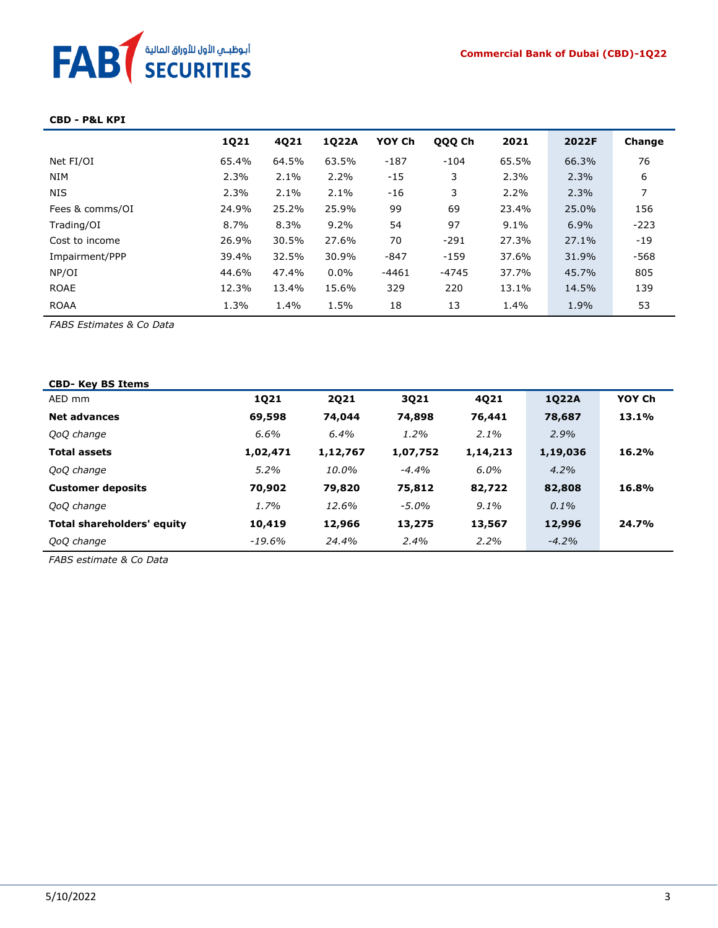#### **Commercial Bank of Dubai (CBD)-1Q22**



#### **CBD - P&L KPI**

|                 | 1Q21  | 4Q21  | 1022A   | YOY Ch  | QQQ Ch  | 2021  | 2022F | Change |
|-----------------|-------|-------|---------|---------|---------|-------|-------|--------|
| Net FI/OI       | 65.4% | 64.5% | 63.5%   | $-187$  | $-104$  | 65.5% | 66.3% | 76     |
| <b>NIM</b>      | 2.3%  | 2.1%  | 2.2%    | $-15$   | 3       | 2.3%  | 2.3%  | 6      |
| <b>NIS</b>      | 2.3%  | 2.1%  | 2.1%    | $-16$   | 3       | 2.2%  | 2.3%  | 7      |
| Fees & comms/OI | 24.9% | 25.2% | 25.9%   | 99      | 69      | 23.4% | 25.0% | 156    |
| Trading/OI      | 8.7%  | 8.3%  | 9.2%    | 54      | 97      | 9.1%  | 6.9%  | $-223$ |
| Cost to income  | 26.9% | 30.5% | 27.6%   | 70      | $-291$  | 27.3% | 27.1% | $-19$  |
| Impairment/PPP  | 39.4% | 32.5% | 30.9%   | $-847$  | $-159$  | 37.6% | 31.9% | $-568$ |
| NP/OI           | 44.6% | 47.4% | $0.0\%$ | $-4461$ | $-4745$ | 37.7% | 45.7% | 805    |
| <b>ROAE</b>     | 12.3% | 13.4% | 15.6%   | 329     | 220     | 13.1% | 14.5% | 139    |
| <b>ROAA</b>     | 1.3%  | 1.4%  | 1.5%    | 18      | 13      | 1.4%  | 1.9%  | 53     |

*FABS Estimates & Co Data*

| <b>CBD- Key BS Items</b>   |          |             |          |          |          |        |
|----------------------------|----------|-------------|----------|----------|----------|--------|
| AED mm                     | 1Q21     | <b>2Q21</b> | 3021     | 4Q21     | 1022A    | YOY Ch |
| <b>Net advances</b>        | 69,598   | 74,044      | 74,898   | 76,441   | 78,687   | 13.1%  |
| QoQ change                 | 6.6%     | 6.4%        | 1.2%     | $2.1\%$  | 2.9%     |        |
| <b>Total assets</b>        | 1,02,471 | 1,12,767    | 1,07,752 | 1,14,213 | 1,19,036 | 16.2%  |
| QoQ change                 | 5.2%     | 10.0%       | $-4.4%$  | $6.0\%$  | 4.2%     |        |
| <b>Customer deposits</b>   | 70,902   | 79,820      | 75,812   | 82,722   | 82,808   | 16.8%  |
| QoQ change                 | 1.7%     | 12.6%       | $-5.0\%$ | $9.1\%$  | $0.1\%$  |        |
| Total shareholders' equity | 10,419   | 12,966      | 13,275   | 13,567   | 12,996   | 24.7%  |
| QoQ change                 | -19.6%   | 24.4%       | 2.4%     | 2.2%     | $-4.2\%$ |        |
|                            |          |             |          |          |          |        |

*FABS estimate & Co Data*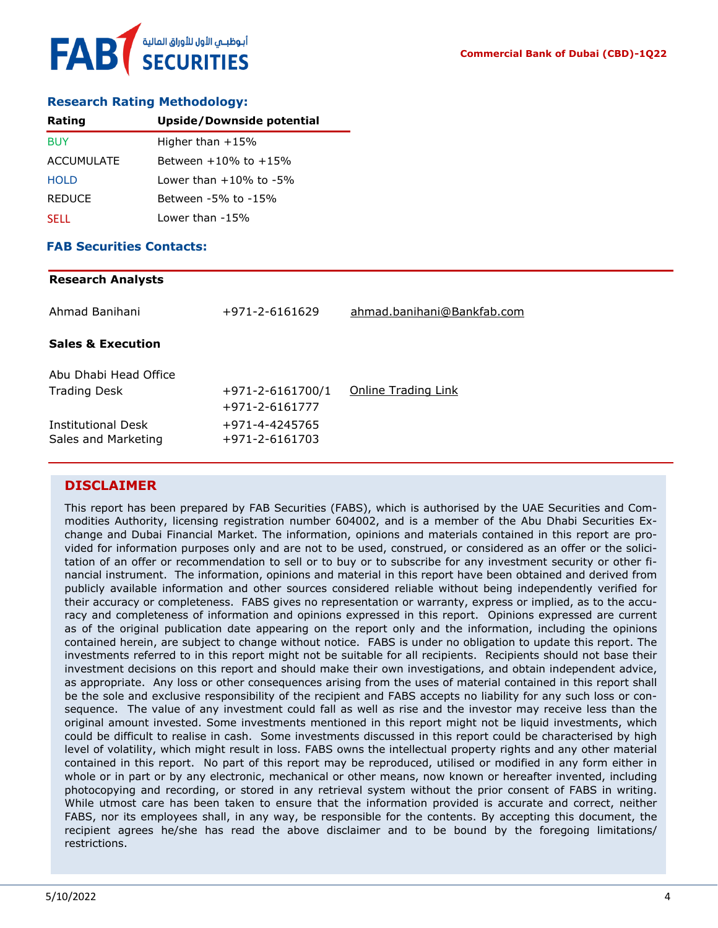

#### **Research Rating Methodology:**

| Rating            | Upside/Downside potential  |
|-------------------|----------------------------|
| <b>BUY</b>        | Higher than $+15%$         |
| <b>ACCUMULATE</b> | Between $+10\%$ to $+15\%$ |
| <b>HOLD</b>       | l ower than +10% to -5%    |
| <b>REDUCE</b>     | Between -5% to -15%        |
| <b>SELL</b>       | Lower than -15%            |

#### **FAB Securities Contacts:**

#### **Research Analysts**

| Ahmad Banihani                            | +971-2-6161629                   | ahmad.banihani@Bankfab.com |
|-------------------------------------------|----------------------------------|----------------------------|
| <b>Sales &amp; Execution</b>              |                                  |                            |
| Abu Dhabi Head Office                     |                                  |                            |
| <b>Trading Desk</b>                       | $+971 - 2 - 6161700/1$           | Online Trading Link        |
|                                           | +971-2-6161777                   |                            |
| Institutional Desk<br>Sales and Marketing | +971-4-4245765<br>+971-2-6161703 |                            |

### **DISCLAIMER**

This report has been prepared by FAB Securities (FABS), which is authorised by the UAE Securities and Commodities Authority, licensing registration number 604002, and is a member of the Abu Dhabi Securities Exchange and Dubai Financial Market. The information, opinions and materials contained in this report are provided for information purposes only and are not to be used, construed, or considered as an offer or the solicitation of an offer or recommendation to sell or to buy or to subscribe for any investment security or other financial instrument. The information, opinions and material in this report have been obtained and derived from publicly available information and other sources considered reliable without being independently verified for their accuracy or completeness. FABS gives no representation or warranty, express or implied, as to the accuracy and completeness of information and opinions expressed in this report. Opinions expressed are current as of the original publication date appearing on the report only and the information, including the opinions contained herein, are subject to change without notice. FABS is under no obligation to update this report. The investments referred to in this report might not be suitable for all recipients. Recipients should not base their investment decisions on this report and should make their own investigations, and obtain independent advice, as appropriate. Any loss or other consequences arising from the uses of material contained in this report shall be the sole and exclusive responsibility of the recipient and FABS accepts no liability for any such loss or consequence. The value of any investment could fall as well as rise and the investor may receive less than the original amount invested. Some investments mentioned in this report might not be liquid investments, which could be difficult to realise in cash. Some investments discussed in this report could be characterised by high level of volatility, which might result in loss. FABS owns the intellectual property rights and any other material contained in this report. No part of this report may be reproduced, utilised or modified in any form either in whole or in part or by any electronic, mechanical or other means, now known or hereafter invented, including photocopying and recording, or stored in any retrieval system without the prior consent of FABS in writing. While utmost care has been taken to ensure that the information provided is accurate and correct, neither FABS, nor its employees shall, in any way, be responsible for the contents. By accepting this document, the recipient agrees he/she has read the above disclaimer and to be bound by the foregoing limitations/ restrictions.